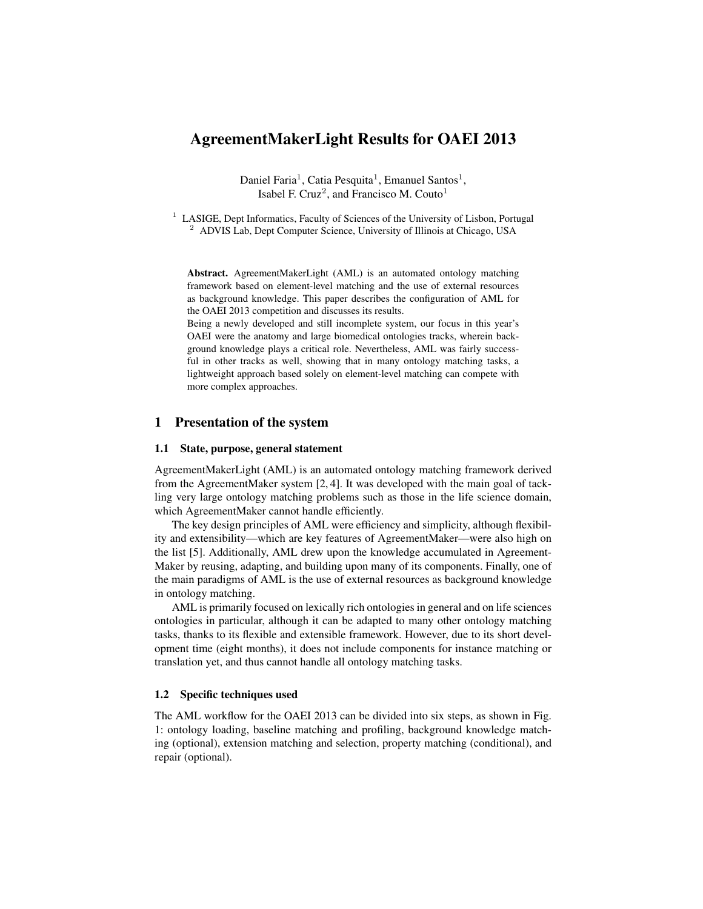# AgreementMakerLight Results for OAEI 2013

Daniel Faria<sup>1</sup>, Catia Pesquita<sup>1</sup>, Emanuel Santos<sup>1</sup>, Isabel F. Cruz<sup>2</sup>, and Francisco M. Couto<sup>1</sup>

<sup>1</sup> LASIGE, Dept Informatics, Faculty of Sciences of the University of Lisbon, Portugal  $2$  ADVIS Lab, Dept Computer Science, University of Illinois at Chicago, USA

Abstract. AgreementMakerLight (AML) is an automated ontology matching framework based on element-level matching and the use of external resources as background knowledge. This paper describes the configuration of AML for the OAEI 2013 competition and discusses its results.

Being a newly developed and still incomplete system, our focus in this year's OAEI were the anatomy and large biomedical ontologies tracks, wherein background knowledge plays a critical role. Nevertheless, AML was fairly successful in other tracks as well, showing that in many ontology matching tasks, a lightweight approach based solely on element-level matching can compete with more complex approaches.

## 1 Presentation of the system

#### 1.1 State, purpose, general statement

AgreementMakerLight (AML) is an automated ontology matching framework derived from the AgreementMaker system [2, 4]. It was developed with the main goal of tackling very large ontology matching problems such as those in the life science domain, which AgreementMaker cannot handle efficiently.

The key design principles of AML were efficiency and simplicity, although flexibility and extensibility—which are key features of AgreementMaker—were also high on the list [5]. Additionally, AML drew upon the knowledge accumulated in Agreement-Maker by reusing, adapting, and building upon many of its components. Finally, one of the main paradigms of AML is the use of external resources as background knowledge in ontology matching.

AML is primarily focused on lexically rich ontologies in general and on life sciences ontologies in particular, although it can be adapted to many other ontology matching tasks, thanks to its flexible and extensible framework. However, due to its short development time (eight months), it does not include components for instance matching or translation yet, and thus cannot handle all ontology matching tasks.

#### 1.2 Specific techniques used

The AML workflow for the OAEI 2013 can be divided into six steps, as shown in Fig. 1: ontology loading, baseline matching and profiling, background knowledge matching (optional), extension matching and selection, property matching (conditional), and repair (optional).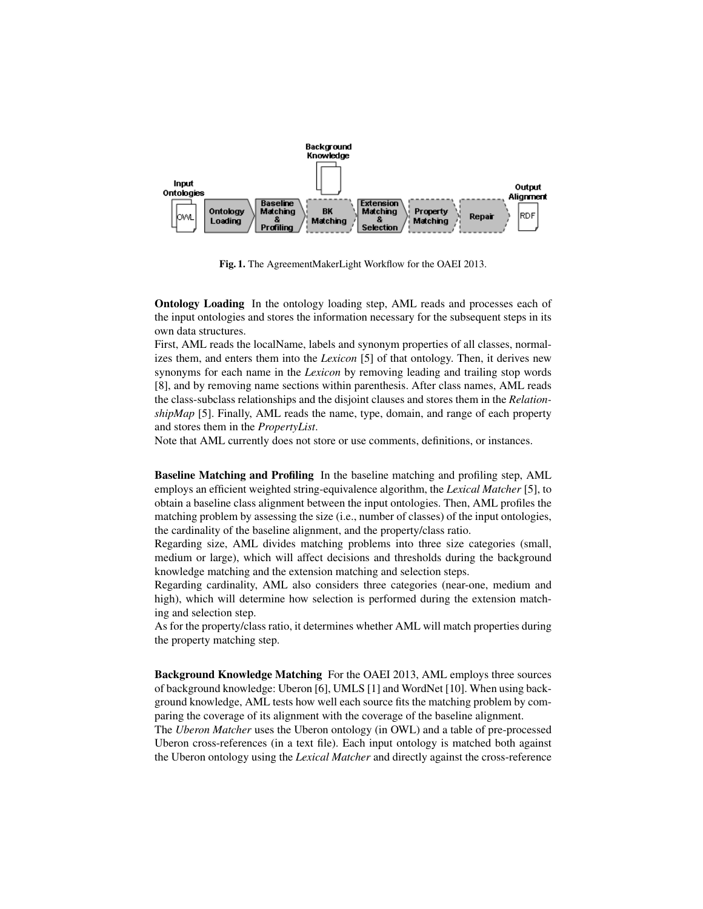

Fig. 1. The AgreementMakerLight Workflow for the OAEI 2013.

Ontology Loading In the ontology loading step, AML reads and processes each of the input ontologies and stores the information necessary for the subsequent steps in its own data structures.

First, AML reads the localName, labels and synonym properties of all classes, normalizes them, and enters them into the *Lexicon* [5] of that ontology. Then, it derives new synonyms for each name in the *Lexicon* by removing leading and trailing stop words [8], and by removing name sections within parenthesis. After class names, AML reads the class-subclass relationships and the disjoint clauses and stores them in the *RelationshipMap* [5]. Finally, AML reads the name, type, domain, and range of each property and stores them in the *PropertyList*.

Note that AML currently does not store or use comments, definitions, or instances.

Baseline Matching and Profiling In the baseline matching and profiling step, AML employs an efficient weighted string-equivalence algorithm, the *Lexical Matcher* [5], to obtain a baseline class alignment between the input ontologies. Then, AML profiles the matching problem by assessing the size (i.e., number of classes) of the input ontologies, the cardinality of the baseline alignment, and the property/class ratio.

Regarding size, AML divides matching problems into three size categories (small, medium or large), which will affect decisions and thresholds during the background knowledge matching and the extension matching and selection steps.

Regarding cardinality, AML also considers three categories (near-one, medium and high), which will determine how selection is performed during the extension matching and selection step.

As for the property/class ratio, it determines whether AML will match properties during the property matching step.

Background Knowledge Matching For the OAEI 2013, AML employs three sources of background knowledge: Uberon [6], UMLS [1] and WordNet [10]. When using background knowledge, AML tests how well each source fits the matching problem by comparing the coverage of its alignment with the coverage of the baseline alignment.

The *Uberon Matcher* uses the Uberon ontology (in OWL) and a table of pre-processed Uberon cross-references (in a text file). Each input ontology is matched both against the Uberon ontology using the *Lexical Matcher* and directly against the cross-reference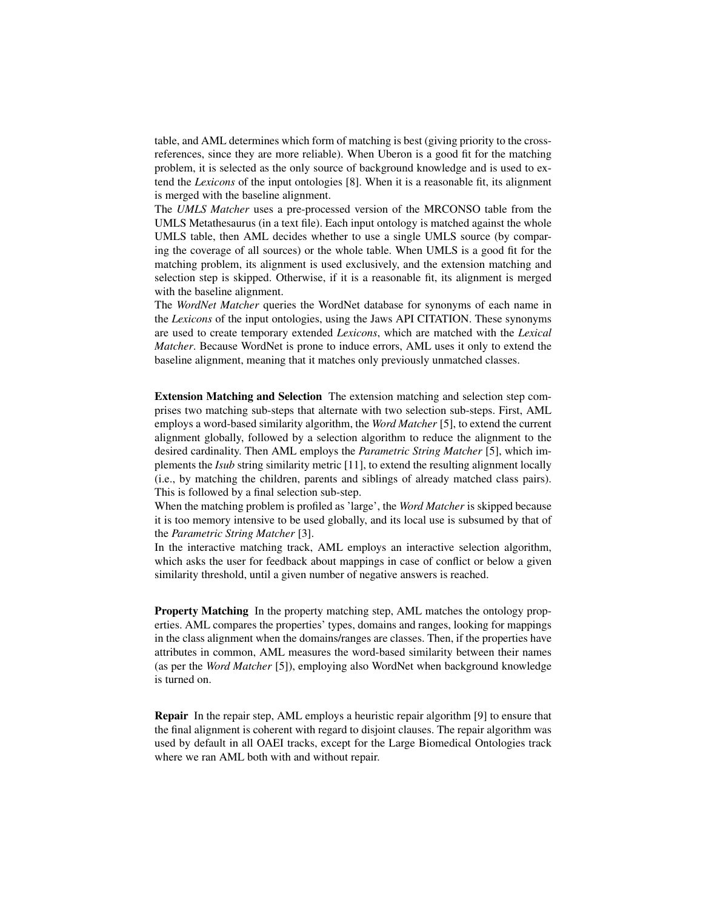table, and AML determines which form of matching is best (giving priority to the crossreferences, since they are more reliable). When Uberon is a good fit for the matching problem, it is selected as the only source of background knowledge and is used to extend the *Lexicons* of the input ontologies [8]. When it is a reasonable fit, its alignment is merged with the baseline alignment.

The *UMLS Matcher* uses a pre-processed version of the MRCONSO table from the UMLS Metathesaurus (in a text file). Each input ontology is matched against the whole UMLS table, then AML decides whether to use a single UMLS source (by comparing the coverage of all sources) or the whole table. When UMLS is a good fit for the matching problem, its alignment is used exclusively, and the extension matching and selection step is skipped. Otherwise, if it is a reasonable fit, its alignment is merged with the baseline alignment.

The *WordNet Matcher* queries the WordNet database for synonyms of each name in the *Lexicons* of the input ontologies, using the Jaws API CITATION. These synonyms are used to create temporary extended *Lexicons*, which are matched with the *Lexical Matcher*. Because WordNet is prone to induce errors, AML uses it only to extend the baseline alignment, meaning that it matches only previously unmatched classes.

Extension Matching and Selection The extension matching and selection step comprises two matching sub-steps that alternate with two selection sub-steps. First, AML employs a word-based similarity algorithm, the *Word Matcher* [5], to extend the current alignment globally, followed by a selection algorithm to reduce the alignment to the desired cardinality. Then AML employs the *Parametric String Matcher* [5], which implements the *Isub* string similarity metric [11], to extend the resulting alignment locally (i.e., by matching the children, parents and siblings of already matched class pairs). This is followed by a final selection sub-step.

When the matching problem is profiled as 'large', the *Word Matcher* is skipped because it is too memory intensive to be used globally, and its local use is subsumed by that of the *Parametric String Matcher* [3].

In the interactive matching track, AML employs an interactive selection algorithm, which asks the user for feedback about mappings in case of conflict or below a given similarity threshold, until a given number of negative answers is reached.

Property Matching In the property matching step, AML matches the ontology properties. AML compares the properties' types, domains and ranges, looking for mappings in the class alignment when the domains/ranges are classes. Then, if the properties have attributes in common, AML measures the word-based similarity between their names (as per the *Word Matcher* [5]), employing also WordNet when background knowledge is turned on.

Repair In the repair step, AML employs a heuristic repair algorithm [9] to ensure that the final alignment is coherent with regard to disjoint clauses. The repair algorithm was used by default in all OAEI tracks, except for the Large Biomedical Ontologies track where we ran AML both with and without repair.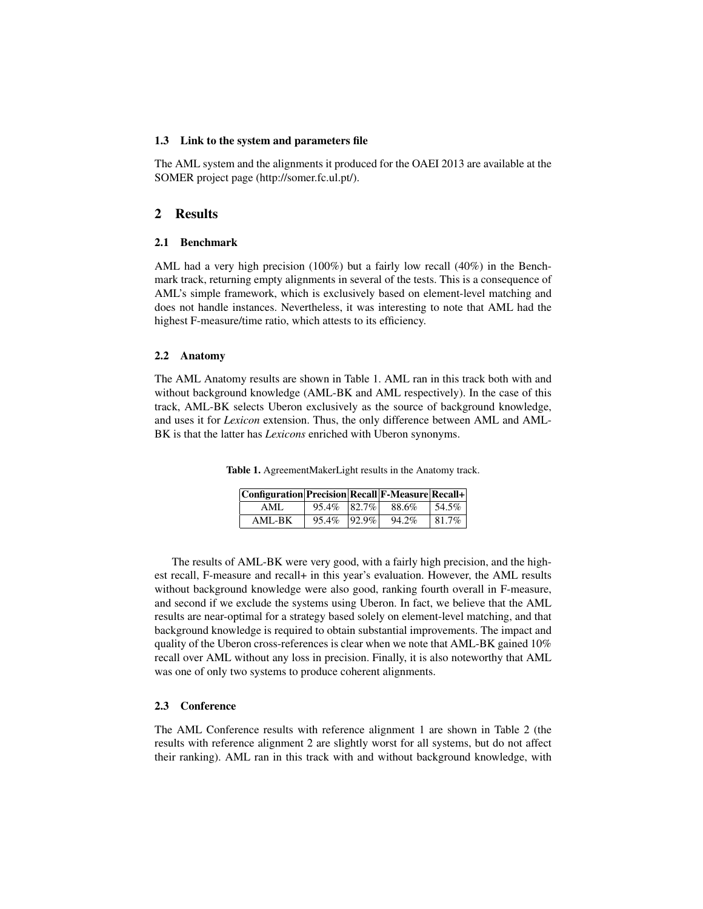## 1.3 Link to the system and parameters file

The AML system and the alignments it produced for the OAEI 2013 are available at the SOMER project page (http://somer.fc.ul.pt/).

## 2 Results

### 2.1 Benchmark

AML had a very high precision (100%) but a fairly low recall (40%) in the Benchmark track, returning empty alignments in several of the tests. This is a consequence of AML's simple framework, which is exclusively based on element-level matching and does not handle instances. Nevertheless, it was interesting to note that AML had the highest F-measure/time ratio, which attests to its efficiency.

### 2.2 Anatomy

The AML Anatomy results are shown in Table 1. AML ran in this track both with and without background knowledge (AML-BK and AML respectively). In the case of this track, AML-BK selects Uberon exclusively as the source of background knowledge, and uses it for *Lexicon* extension. Thus, the only difference between AML and AML-BK is that the latter has *Lexicons* enriched with Uberon synonyms.

| Configuration Precision Recall F-Measure Recall+ |             |            |       |           |
|--------------------------------------------------|-------------|------------|-------|-----------|
| AML                                              | 95.4% 82.7% |            | 88.6% | $154.5\%$ |
| AML-BK                                           | 95.4%       | $ 92.9\% $ | 94.2% | 81.7%     |

Table 1. AgreementMakerLight results in the Anatomy track.

The results of AML-BK were very good, with a fairly high precision, and the highest recall, F-measure and recall+ in this year's evaluation. However, the AML results without background knowledge were also good, ranking fourth overall in F-measure, and second if we exclude the systems using Uberon. In fact, we believe that the AML results are near-optimal for a strategy based solely on element-level matching, and that background knowledge is required to obtain substantial improvements. The impact and quality of the Uberon cross-references is clear when we note that AML-BK gained 10% recall over AML without any loss in precision. Finally, it is also noteworthy that AML was one of only two systems to produce coherent alignments.

## 2.3 Conference

The AML Conference results with reference alignment 1 are shown in Table 2 (the results with reference alignment 2 are slightly worst for all systems, but do not affect their ranking). AML ran in this track with and without background knowledge, with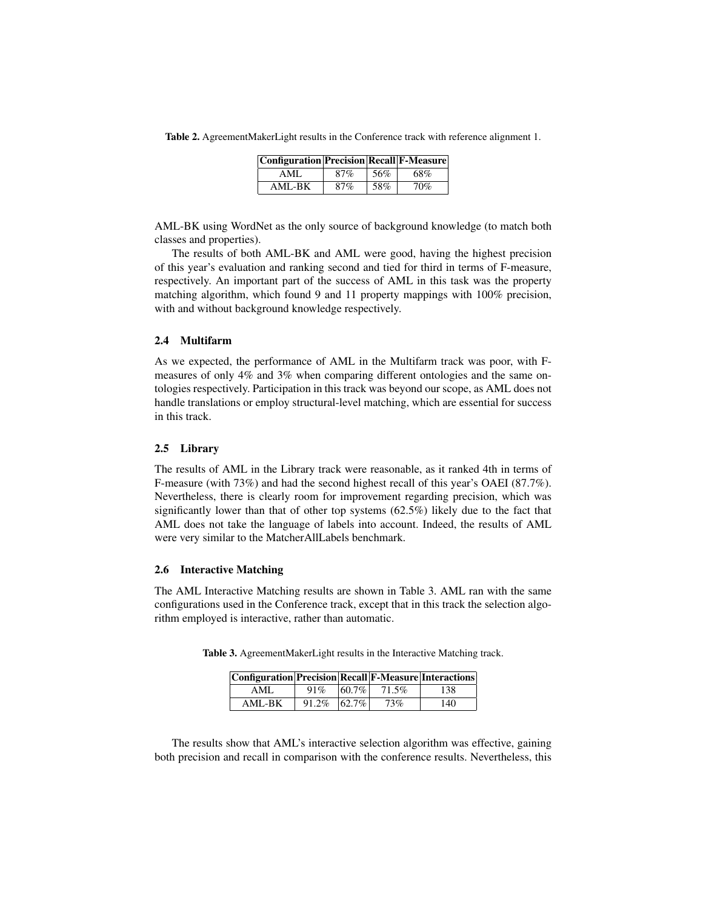| Table 2. AgreementMakerLight results in the Conference track with reference alignment 1. |  |  |
|------------------------------------------------------------------------------------------|--|--|
|------------------------------------------------------------------------------------------|--|--|

| <b>Configuration Precision Recall F-Measure</b> |     |     |     |
|-------------------------------------------------|-----|-----|-----|
| AML.                                            | 87% | 56% | 68% |
| AML-BK                                          | 87% | 58% | 70% |

AML-BK using WordNet as the only source of background knowledge (to match both classes and properties).

The results of both AML-BK and AML were good, having the highest precision of this year's evaluation and ranking second and tied for third in terms of F-measure, respectively. An important part of the success of AML in this task was the property matching algorithm, which found 9 and 11 property mappings with 100% precision, with and without background knowledge respectively.

## 2.4 Multifarm

As we expected, the performance of AML in the Multifarm track was poor, with Fmeasures of only 4% and 3% when comparing different ontologies and the same ontologies respectively. Participation in this track was beyond our scope, as AML does not handle translations or employ structural-level matching, which are essential for success in this track.

### 2.5 Library

The results of AML in the Library track were reasonable, as it ranked 4th in terms of F-measure (with 73%) and had the second highest recall of this year's OAEI (87.7%). Nevertheless, there is clearly room for improvement regarding precision, which was significantly lower than that of other top systems (62.5%) likely due to the fact that AML does not take the language of labels into account. Indeed, the results of AML were very similar to the MatcherAllLabels benchmark.

#### 2.6 Interactive Matching

The AML Interactive Matching results are shown in Table 3. AML ran with the same configurations used in the Conference track, except that in this track the selection algorithm employed is interactive, rather than automatic.

| Configuration Precision Recall F-Measure Interactions |       |            |       |     |
|-------------------------------------------------------|-------|------------|-------|-----|
| AML.                                                  | 91%   | $ 60.7\% $ | 71.5% | 138 |
| AML-BK                                                | 91.2% | $ 62.7\% $ | 73%   | 140 |

Table 3. AgreementMakerLight results in the Interactive Matching track.

The results show that AML's interactive selection algorithm was effective, gaining both precision and recall in comparison with the conference results. Nevertheless, this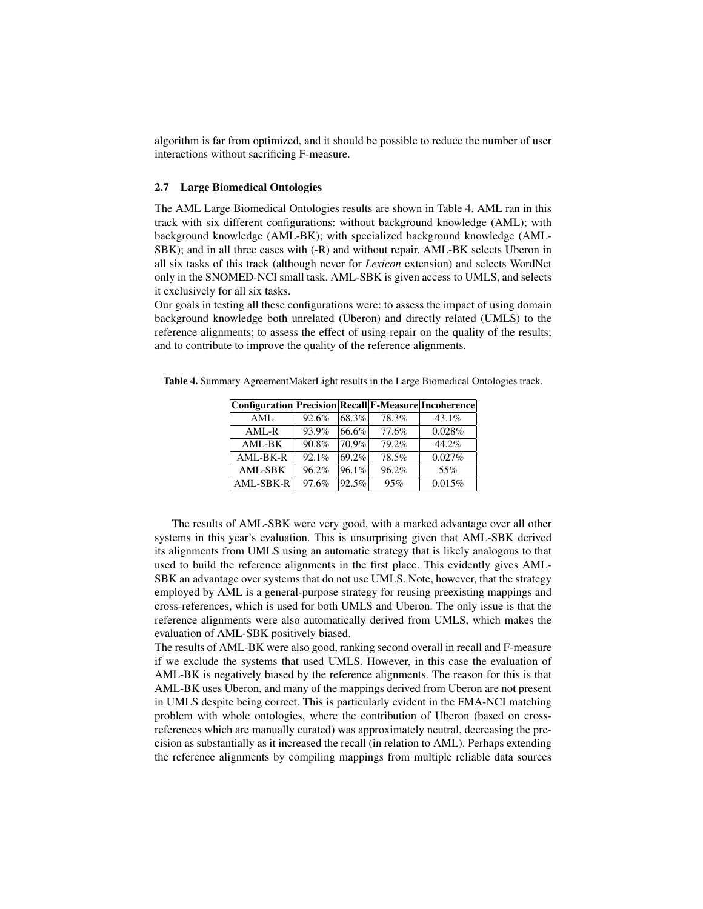algorithm is far from optimized, and it should be possible to reduce the number of user interactions without sacrificing F-measure.

### 2.7 Large Biomedical Ontologies

The AML Large Biomedical Ontologies results are shown in Table 4. AML ran in this track with six different configurations: without background knowledge (AML); with background knowledge (AML-BK); with specialized background knowledge (AML-SBK); and in all three cases with (-R) and without repair. AML-BK selects Uberon in all six tasks of this track (although never for *Lexicon* extension) and selects WordNet only in the SNOMED-NCI small task. AML-SBK is given access to UMLS, and selects it exclusively for all six tasks.

Our goals in testing all these configurations were: to assess the impact of using domain background knowledge both unrelated (Uberon) and directly related (UMLS) to the reference alignments; to assess the effect of using repair on the quality of the results; and to contribute to improve the quality of the reference alignments.

Table 4. Summary AgreementMakerLight results in the Large Biomedical Ontologies track.

| <b>Configuration Precision Recall F-Measure Incoherence</b> |       |            |       |        |
|-------------------------------------------------------------|-------|------------|-------|--------|
| AML                                                         | 92.6% | 68.3%      | 78.3% | 43.1%  |
| $AML-R$                                                     | 93.9% | $66.6\%$   | 77.6% | 0.028% |
| AML-BK                                                      | 90.8% | 70.9%      | 79.2% | 44.2%  |
| AML-BK-R                                                    | 92.1% | 69.2%      | 78.5% | 0.027% |
| <b>AML-SBK</b>                                              | 96.2% | $ 96.1\% $ | 96.2% | 55%    |
| AML-SBK-R                                                   | 97.6% | 92.5%      | 95%   | 0.015% |

The results of AML-SBK were very good, with a marked advantage over all other systems in this year's evaluation. This is unsurprising given that AML-SBK derived its alignments from UMLS using an automatic strategy that is likely analogous to that used to build the reference alignments in the first place. This evidently gives AML-SBK an advantage over systems that do not use UMLS. Note, however, that the strategy employed by AML is a general-purpose strategy for reusing preexisting mappings and cross-references, which is used for both UMLS and Uberon. The only issue is that the reference alignments were also automatically derived from UMLS, which makes the evaluation of AML-SBK positively biased.

The results of AML-BK were also good, ranking second overall in recall and F-measure if we exclude the systems that used UMLS. However, in this case the evaluation of AML-BK is negatively biased by the reference alignments. The reason for this is that AML-BK uses Uberon, and many of the mappings derived from Uberon are not present in UMLS despite being correct. This is particularly evident in the FMA-NCI matching problem with whole ontologies, where the contribution of Uberon (based on crossreferences which are manually curated) was approximately neutral, decreasing the precision as substantially as it increased the recall (in relation to AML). Perhaps extending the reference alignments by compiling mappings from multiple reliable data sources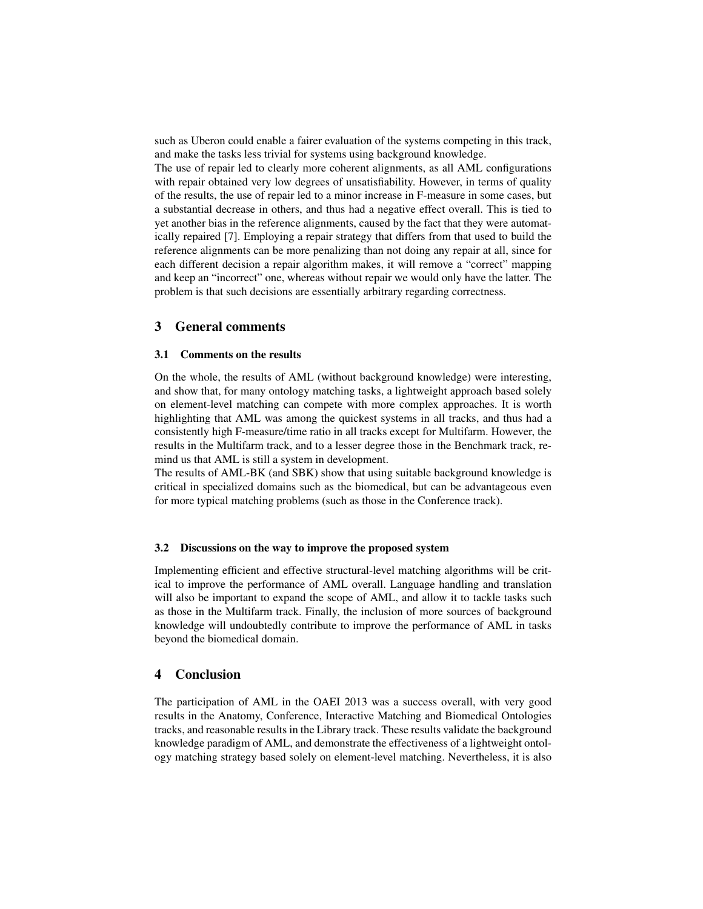such as Uberon could enable a fairer evaluation of the systems competing in this track, and make the tasks less trivial for systems using background knowledge.

The use of repair led to clearly more coherent alignments, as all AML configurations with repair obtained very low degrees of unsatisfiability. However, in terms of quality of the results, the use of repair led to a minor increase in F-measure in some cases, but a substantial decrease in others, and thus had a negative effect overall. This is tied to yet another bias in the reference alignments, caused by the fact that they were automatically repaired [7]. Employing a repair strategy that differs from that used to build the reference alignments can be more penalizing than not doing any repair at all, since for each different decision a repair algorithm makes, it will remove a "correct" mapping and keep an "incorrect" one, whereas without repair we would only have the latter. The problem is that such decisions are essentially arbitrary regarding correctness.

## 3 General comments

#### 3.1 Comments on the results

On the whole, the results of AML (without background knowledge) were interesting, and show that, for many ontology matching tasks, a lightweight approach based solely on element-level matching can compete with more complex approaches. It is worth highlighting that AML was among the quickest systems in all tracks, and thus had a consistently high F-measure/time ratio in all tracks except for Multifarm. However, the results in the Multifarm track, and to a lesser degree those in the Benchmark track, remind us that AML is still a system in development.

The results of AML-BK (and SBK) show that using suitable background knowledge is critical in specialized domains such as the biomedical, but can be advantageous even for more typical matching problems (such as those in the Conference track).

#### 3.2 Discussions on the way to improve the proposed system

Implementing efficient and effective structural-level matching algorithms will be critical to improve the performance of AML overall. Language handling and translation will also be important to expand the scope of AML, and allow it to tackle tasks such as those in the Multifarm track. Finally, the inclusion of more sources of background knowledge will undoubtedly contribute to improve the performance of AML in tasks beyond the biomedical domain.

## 4 Conclusion

The participation of AML in the OAEI 2013 was a success overall, with very good results in the Anatomy, Conference, Interactive Matching and Biomedical Ontologies tracks, and reasonable results in the Library track. These results validate the background knowledge paradigm of AML, and demonstrate the effectiveness of a lightweight ontology matching strategy based solely on element-level matching. Nevertheless, it is also